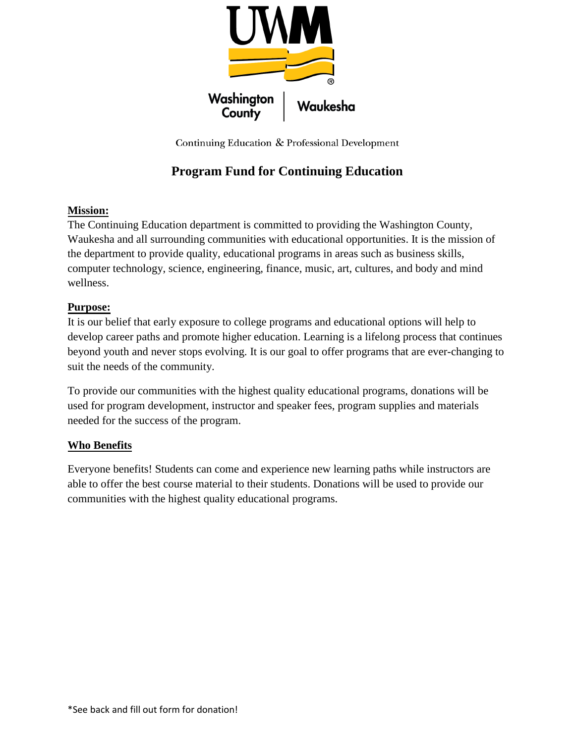

Continuing Education & Professional Development

# **Program Fund for Continuing Education**

## **Mission:**

The Continuing Education department is committed to providing the Washington County, Waukesha and all surrounding communities with educational opportunities. It is the mission of the department to provide quality, educational programs in areas such as business skills, computer technology, science, engineering, finance, music, art, cultures, and body and mind wellness.

## **Purpose:**

It is our belief that early exposure to college programs and educational options will help to develop career paths and promote higher education. Learning is a lifelong process that continues beyond youth and never stops evolving. It is our goal to offer programs that are ever-changing to suit the needs of the community.

To provide our communities with the highest quality educational programs, donations will be used for program development, instructor and speaker fees, program supplies and materials needed for the success of the program.

## **Who Benefits**

Everyone benefits! Students can come and experience new learning paths while instructors are able to offer the best course material to their students. Donations will be used to provide our communities with the highest quality educational programs.